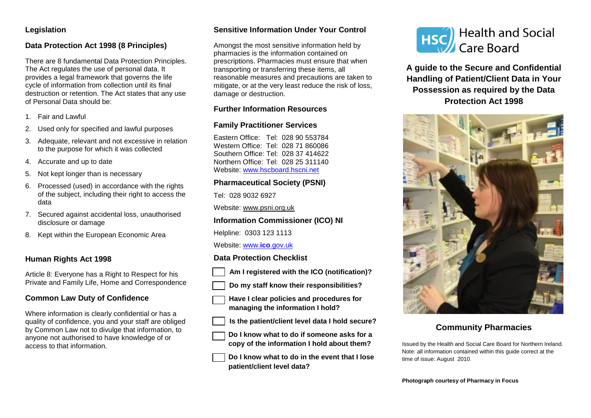# **Legislation**

# **Data Protection Act 1998 (8 Principles)**

There are 8 fundamental Data Protection Principles. The Act regulates the use of personal data. It provides a legal framework that governs the life cycle of information from collection until its final destruction or retention. The Act states that any use of Personal Data should be:

- 1. Fair and Lawful
- 2. Used only for specified and lawful purposes
- 3. Adequate, relevant and not excessive in relation to the purpose for which it was collected
- 4. Accurate and up to date
- 5. Not kept longer than is necessary
- 6. Processed (used) in accordance with the rights of the subject, including their right to access the data
- 7. Secured against accidental loss, unauthorised disclosure or damage
- 8. Kept within the European Economic Area

## **Human Rights Act 1998**

Article 8: Everyone has a Right to Respect for his Private and Family Life, Home and Correspondence

# **Common Law Duty of Confidence**

Where information is clearly confidential or has a quality of confidence, you and your staff are obliged by Common Law not to divulge that information, to anyone not authorised to have knowledge of or access to that information.

## **Sensitive Information Under Your Control**

Amongst the most sensitive information held by pharmacies is the information contained on prescriptions. Pharmacies must ensure that when transporting or transferring these items, all reasonable measures and precautions are taken to mitigate, or at the very least reduce the risk of loss, damage or destruction.

# **Further Information Resources**

## **Family Practitioner Services**

Eastern Office: Tel: 028 90 553784 Western Office: Tel: 028 71 860086 Southern Office: Tel: 028 37 414622 Northern Office: Tel: 028 25 311140 Website: [www.hscboard.hscni.net](http://www.hscboard.hscni.net/)

# **Pharmaceutical Society (PSNI)**

Tel: 028 9032 6927

Website: [www.psni.org.uk](http://www.psni.org.uk/)

# **Information Commissioner (ICO) NI**

Helpline: 0303 123 1113

#### Website: www.**ico**[.gov.uk](http://www.ico.gov.uk/)

## **Data Protection Checklist**

- **Am I registered with the ICO (notification)?**
- **Do my staff know their responsibilities?**
- **Have I clear policies and procedures for managing the information I hold?**
- **Is the patient/client level data I hold secure?**
- **Do I know what to do if someone asks for a copy of the information I hold about them?**
- **Do I know what to do in the event that I lose patient/client level data?**



**A guide to the Secure and Confidential Handling of Patient/Client Data in Your Possession as required by the Data Protection Act 1998**



# **Community Pharmacies**

Issued by the Health and Social Care Board for Northern Ireland. Note: all information contained within this guide correct at the time of issue: August 2010.